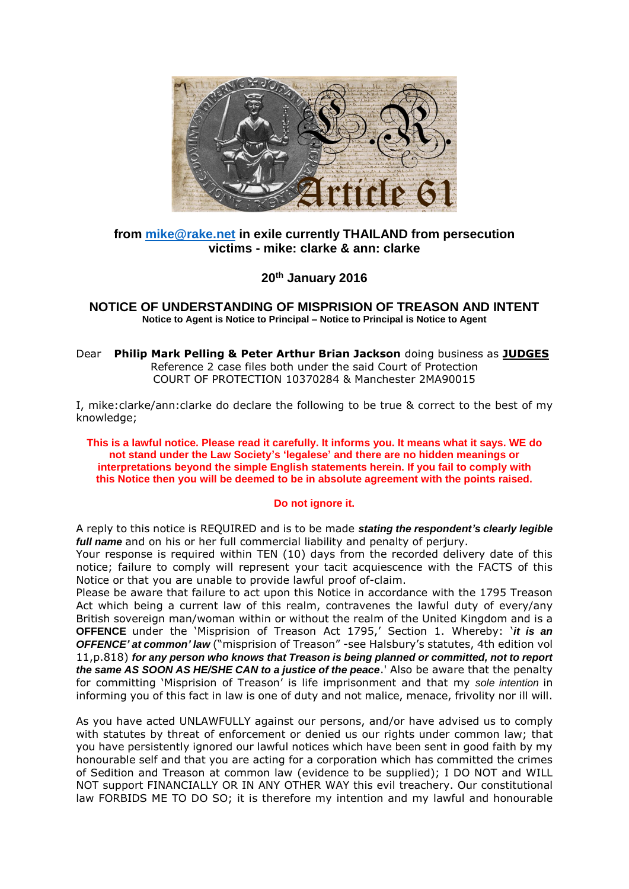

## **from [mike@rake.net](mailto:mike@rake.net) in exile currently THAILAND from persecution victims - mike: clarke & ann: clarke**

**20th January 2016**

**NOTICE OF UNDERSTANDING OF MISPRISION OF TREASON AND INTENT Notice to Agent is Notice to Principal – Notice to Principal is Notice to Agent**

Dear **Philip Mark Pelling & Peter Arthur Brian Jackson** doing business as **JUDGES** Reference 2 case files both under the said Court of Protection COURT OF PROTECTION 10370284 & Manchester 2MA90015

I, mike:clarke/ann:clarke do declare the following to be true & correct to the best of my knowledge;

**This is a lawful notice. Please read it carefully. It informs you. It means what it says. WE do not stand under the Law Society's 'legalese' and there are no hidden meanings or interpretations beyond the simple English statements herein. If you fail to comply with this Notice then you will be deemed to be in absolute agreement with the points raised.** 

## **Do not ignore it.**

A reply to this notice is REQUIRED and is to be made *stating the respondent's clearly legible full name* and on his or her full commercial liability and penalty of perjury.

Your response is required within TEN (10) days from the recorded delivery date of this notice; failure to comply will represent your tacit acquiescence with the FACTS of this Notice or that you are unable to provide lawful proof of-claim.

Please be aware that failure to act upon this Notice in accordance with the 1795 Treason Act which being a current law of this realm, contravenes the lawful duty of every/any British sovereign man/woman within or without the realm of the United Kingdom and is a **OFFENCE** under the 'Misprision of Treason Act 1795,' Section 1. Whereby: '*it is an OFFENCE' at common' law* ("misprision of Treason" -see Halsbury's statutes, 4th edition vol 11,p.818) *for any person who knows that Treason is being planned or committed, not to report the same AS SOON AS HE/SHE CAN to a justice of the peace*.' Also be aware that the penalty for committing 'Misprision of Treason' is life imprisonment and that my *sole intention* in informing you of this fact in law is one of duty and not malice, menace, frivolity nor ill will.

As you have acted UNLAWFULLY against our persons, and/or have advised us to comply with statutes by threat of enforcement or denied us our rights under common law; that you have persistently ignored our lawful notices which have been sent in good faith by my honourable self and that you are acting for a corporation which has committed the crimes of Sedition and Treason at common law (evidence to be supplied); I DO NOT and WILL NOT support FINANCIALLY OR IN ANY OTHER WAY this evil treachery. Our constitutional law FORBIDS ME TO DO SO; it is therefore my intention and my lawful and honourable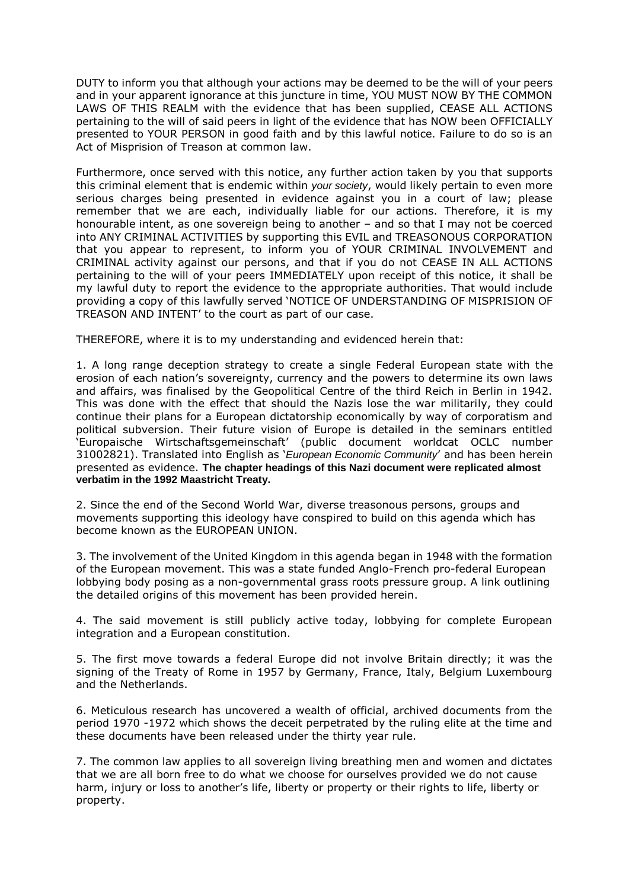DUTY to inform you that although your actions may be deemed to be the will of your peers and in your apparent ignorance at this juncture in time, YOU MUST NOW BY THE COMMON LAWS OF THIS REALM with the evidence that has been supplied, CEASE ALL ACTIONS pertaining to the will of said peers in light of the evidence that has NOW been OFFICIALLY presented to YOUR PERSON in good faith and by this lawful notice. Failure to do so is an Act of Misprision of Treason at common law.

Furthermore, once served with this notice, any further action taken by you that supports this criminal element that is endemic within *your society*, would likely pertain to even more serious charges being presented in evidence against you in a court of law; please remember that we are each, individually liable for our actions. Therefore, it is my honourable intent, as one sovereign being to another – and so that I may not be coerced into ANY CRIMINAL ACTIVITIES by supporting this EVIL and TREASONOUS CORPORATION that you appear to represent, to inform you of YOUR CRIMINAL INVOLVEMENT and CRIMINAL activity against our persons, and that if you do not CEASE IN ALL ACTIONS pertaining to the will of your peers IMMEDIATELY upon receipt of this notice, it shall be my lawful duty to report the evidence to the appropriate authorities. That would include providing a copy of this lawfully served 'NOTICE OF UNDERSTANDING OF MISPRISION OF TREASON AND INTENT' to the court as part of our case.

THEREFORE, where it is to my understanding and evidenced herein that:

1. A long range deception strategy to create a single Federal European state with the erosion of each nation's sovereignty, currency and the powers to determine its own laws and affairs, was finalised by the Geopolitical Centre of the third Reich in Berlin in 1942. This was done with the effect that should the Nazis lose the war militarily, they could continue their plans for a European dictatorship economically by way of corporatism and political subversion. Their future vision of Europe is detailed in the seminars entitled 'Europaische Wirtschaftsgemeinschaft' (public document worldcat OCLC number 31002821). Translated into English as '*European Economic Community*' and has been herein presented as evidence. **The chapter headings of this Nazi document were replicated almost verbatim in the 1992 Maastricht Treaty.**

2. Since the end of the Second World War, diverse treasonous persons, groups and movements supporting this ideology have conspired to build on this agenda which has become known as the EUROPEAN UNION.

3. The involvement of the United Kingdom in this agenda began in 1948 with the formation of the European movement. This was a state funded Anglo-French pro-federal European lobbying body posing as a non-governmental grass roots pressure group. A link outlining the detailed origins of this movement has been provided herein.

4. The said movement is still publicly active today, lobbying for complete European integration and a European constitution.

5. The first move towards a federal Europe did not involve Britain directly; it was the signing of the Treaty of Rome in 1957 by Germany, France, Italy, Belgium Luxembourg and the Netherlands.

6. Meticulous research has uncovered a wealth of official, archived documents from the period 1970 -1972 which shows the deceit perpetrated by the ruling elite at the time and these documents have been released under the thirty year rule.

7. The common law applies to all sovereign living breathing men and women and dictates that we are all born free to do what we choose for ourselves provided we do not cause harm, injury or loss to another's life, liberty or property or their rights to life, liberty or property.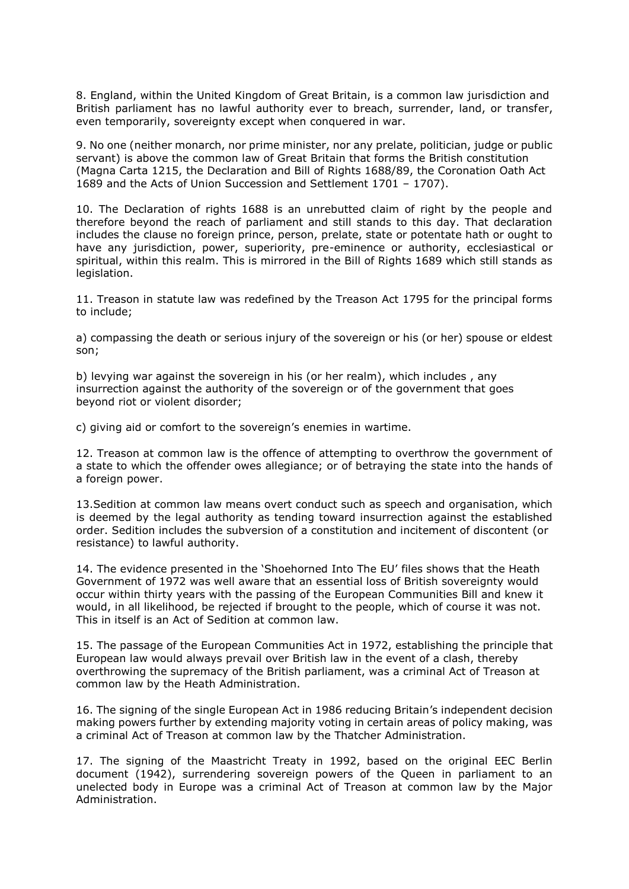8. England, within the United Kingdom of Great Britain, is a common law jurisdiction and British parliament has no lawful authority ever to breach, surrender, land, or transfer, even temporarily, sovereignty except when conquered in war.

9. No one (neither monarch, nor prime minister, nor any prelate, politician, judge or public servant) is above the common law of Great Britain that forms the British constitution (Magna Carta 1215, the Declaration and Bill of Rights 1688/89, the Coronation Oath Act 1689 and the Acts of Union Succession and Settlement 1701 – 1707).

10. The Declaration of rights 1688 is an unrebutted claim of right by the people and therefore beyond the reach of parliament and still stands to this day. That declaration includes the clause no foreign prince, person, prelate, state or potentate hath or ought to have any jurisdiction, power, superiority, pre-eminence or authority, ecclesiastical or spiritual, within this realm. This is mirrored in the Bill of Rights 1689 which still stands as legislation.

11. Treason in statute law was redefined by the Treason Act 1795 for the principal forms to include;

a) compassing the death or serious injury of the sovereign or his (or her) spouse or eldest son;

b) levying war against the sovereign in his (or her realm), which includes , any insurrection against the authority of the sovereign or of the government that goes beyond riot or violent disorder;

c) giving aid or comfort to the sovereign's enemies in wartime.

12. Treason at common law is the offence of attempting to overthrow the government of a state to which the offender owes allegiance; or of betraying the state into the hands of a foreign power.

13.Sedition at common law means overt conduct such as speech and organisation, which is deemed by the legal authority as tending toward insurrection against the established order. Sedition includes the subversion of a constitution and incitement of discontent (or resistance) to lawful authority.

14. The evidence presented in the 'Shoehorned Into The EU' files shows that the Heath Government of 1972 was well aware that an essential loss of British sovereignty would occur within thirty years with the passing of the European Communities Bill and knew it would, in all likelihood, be rejected if brought to the people, which of course it was not. This in itself is an Act of Sedition at common law.

15. The passage of the European Communities Act in 1972, establishing the principle that European law would always prevail over British law in the event of a clash, thereby overthrowing the supremacy of the British parliament, was a criminal Act of Treason at common law by the Heath Administration.

16. The signing of the single European Act in 1986 reducing Britain's independent decision making powers further by extending majority voting in certain areas of policy making, was a criminal Act of Treason at common law by the Thatcher Administration.

17. The signing of the Maastricht Treaty in 1992, based on the original EEC Berlin document (1942), surrendering sovereign powers of the Queen in parliament to an unelected body in Europe was a criminal Act of Treason at common law by the Major Administration.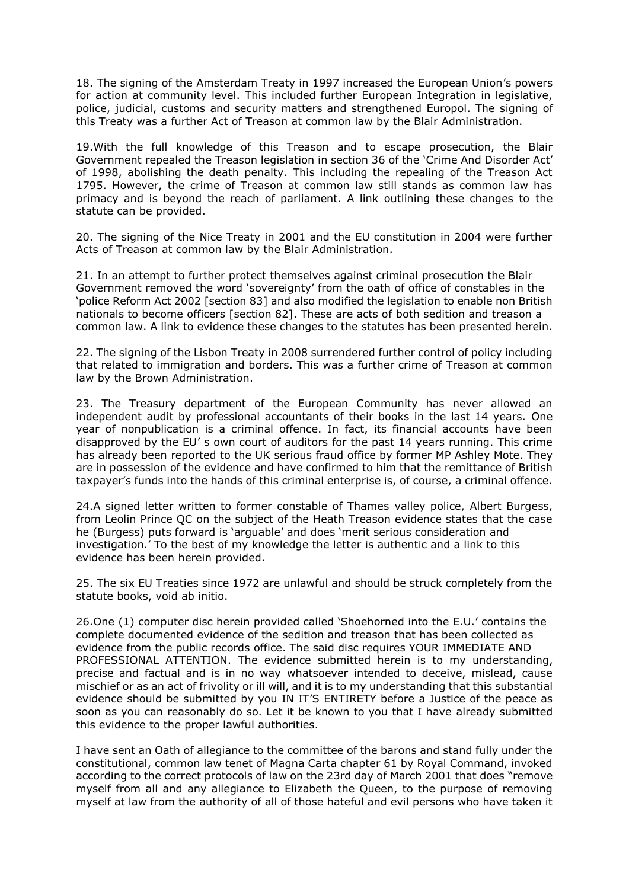18. The signing of the Amsterdam Treaty in 1997 increased the European Union's powers for action at community level. This included further European Integration in legislative, police, judicial, customs and security matters and strengthened Europol. The signing of this Treaty was a further Act of Treason at common law by the Blair Administration.

19.With the full knowledge of this Treason and to escape prosecution, the Blair Government repealed the Treason legislation in section 36 of the 'Crime And Disorder Act' of 1998, abolishing the death penalty. This including the repealing of the Treason Act 1795. However, the crime of Treason at common law still stands as common law has primacy and is beyond the reach of parliament. A link outlining these changes to the statute can be provided.

20. The signing of the Nice Treaty in 2001 and the EU constitution in 2004 were further Acts of Treason at common law by the Blair Administration.

21. In an attempt to further protect themselves against criminal prosecution the Blair Government removed the word 'sovereignty' from the oath of office of constables in the 'police Reform Act 2002 [section 83] and also modified the legislation to enable non British nationals to become officers [section 82]. These are acts of both sedition and treason a common law. A link to evidence these changes to the statutes has been presented herein.

22. The signing of the Lisbon Treaty in 2008 surrendered further control of policy including that related to immigration and borders. This was a further crime of Treason at common law by the Brown Administration.

23. The Treasury department of the European Community has never allowed an independent audit by professional accountants of their books in the last 14 years. One year of nonpublication is a criminal offence. In fact, its financial accounts have been disapproved by the EU' s own court of auditors for the past 14 years running. This crime has already been reported to the UK serious fraud office by former MP Ashley Mote. They are in possession of the evidence and have confirmed to him that the remittance of British taxpayer's funds into the hands of this criminal enterprise is, of course, a criminal offence.

24.A signed letter written to former constable of Thames valley police, Albert Burgess, from Leolin Prince QC on the subject of the Heath Treason evidence states that the case he (Burgess) puts forward is 'arguable' and does 'merit serious consideration and investigation.' To the best of my knowledge the letter is authentic and a link to this evidence has been herein provided.

25. The six EU Treaties since 1972 are unlawful and should be struck completely from the statute books, void ab initio.

26.One (1) computer disc herein provided called 'Shoehorned into the E.U.' contains the complete documented evidence of the sedition and treason that has been collected as evidence from the public records office. The said disc requires YOUR IMMEDIATE AND PROFESSIONAL ATTENTION. The evidence submitted herein is to my understanding, precise and factual and is in no way whatsoever intended to deceive, mislead, cause mischief or as an act of frivolity or ill will, and it is to my understanding that this substantial evidence should be submitted by you IN IT'S ENTIRETY before a Justice of the peace as soon as you can reasonably do so. Let it be known to you that I have already submitted this evidence to the proper lawful authorities.

I have sent an Oath of allegiance to the committee of the barons and stand fully under the constitutional, common law tenet of Magna Carta chapter 61 by Royal Command, invoked according to the correct protocols of law on the 23rd day of March 2001 that does "remove myself from all and any allegiance to Elizabeth the Queen, to the purpose of removing myself at law from the authority of all of those hateful and evil persons who have taken it